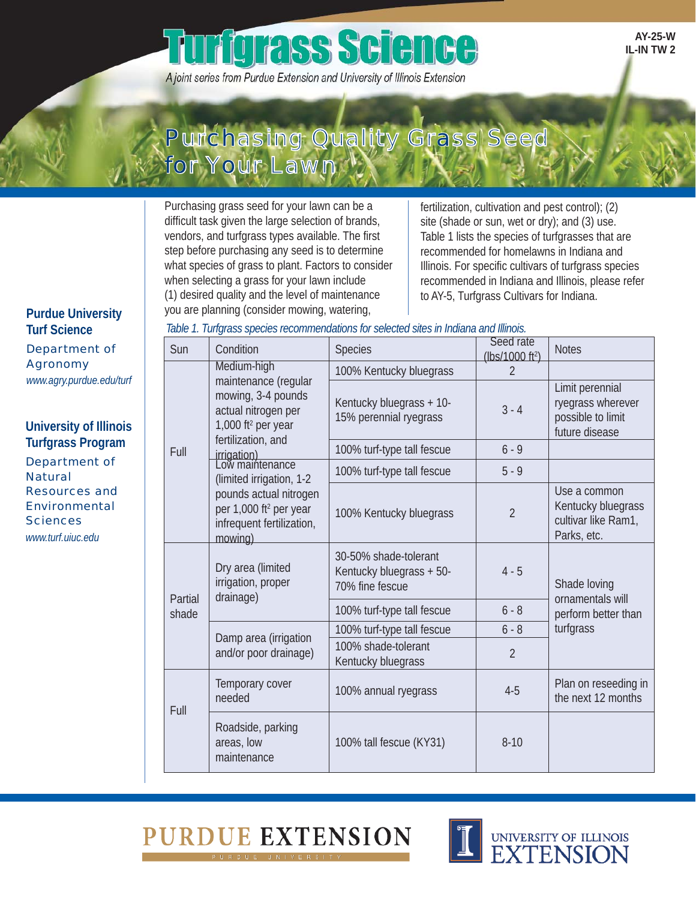# **Tigrass Science**

A joint series from Purdue Extension and University of Illinois Extension

**AY-25-W IL-IN TW 2** 

# Purchasing Quality Grass Seed for Your Lawn

Purchasing grass seed for your lawn can be a difficult task given the large selection of brands, vendors, and turfgrass types available. The first step before purchasing any seed is to determine what species of grass to plant. Factors to consider when selecting a grass for your lawn include (1) desired quality and the level of maintenance you are planning (consider mowing, watering,

fertilization, cultivation and pest control); (2) site (shade or sun, wet or dry); and (3) use. Table 1 lists the species of turfgrasses that are recommended for homelawns in Indiana and Illinois. For specific cultivars of turfgrass species recommended in Indiana and Illinois, please refer to AY-5, Turfgrass Cultivars for Indiana.

**Purdue University Turf Science**  Department of Agronomy *www.agry.purdue.edu/turf* 

Department of<br>Natural **University of Illinois Turfgrass Program**  Resources and Environmental **Sciences** *www.turf.uiuc.edu* 

 $\overline{F}$ 

 $P$ sl

| lable 1. Turtgrass species recommendations for selected sites in Indiana and Illinois. |                                                                                                                                                                                                                                                                                                                |                                                                      |                                          |                                                                             |  |  |  |
|----------------------------------------------------------------------------------------|----------------------------------------------------------------------------------------------------------------------------------------------------------------------------------------------------------------------------------------------------------------------------------------------------------------|----------------------------------------------------------------------|------------------------------------------|-----------------------------------------------------------------------------|--|--|--|
| Sun                                                                                    | Condition                                                                                                                                                                                                                                                                                                      | <b>Species</b>                                                       | Seed rate<br>(lbs/1000 ft <sup>2</sup> ) | <b>Notes</b>                                                                |  |  |  |
|                                                                                        | Medium-high<br>maintenance (regular<br>mowing, 3-4 pounds<br>actual nitrogen per<br>1,000 ft <sup>2</sup> per year<br>fertilization, and<br>irrigation)<br>Low maintenance<br>(limited irrigation, 1-2<br>pounds actual nitrogen<br>per 1,000 ft <sup>2</sup> per year<br>infrequent fertilization,<br>mowing) | 100% Kentucky bluegrass                                              | $\mathfrak{D}$                           |                                                                             |  |  |  |
|                                                                                        |                                                                                                                                                                                                                                                                                                                | Kentucky bluegrass + 10-<br>15% perennial ryegrass                   | $3 - 4$                                  | Limit perennial<br>ryegrass wherever<br>possible to limit<br>future disease |  |  |  |
| Full                                                                                   |                                                                                                                                                                                                                                                                                                                | 100% turf-type tall fescue                                           | $6 - 9$                                  |                                                                             |  |  |  |
|                                                                                        |                                                                                                                                                                                                                                                                                                                | 100% turf-type tall fescue                                           | $5 - 9$                                  |                                                                             |  |  |  |
|                                                                                        |                                                                                                                                                                                                                                                                                                                | 100% Kentucky bluegrass                                              | $\overline{2}$                           | Use a common<br>Kentucky bluegrass<br>cultivar like Ram1,<br>Parks, etc.    |  |  |  |
| Partial<br>shade                                                                       | Dry area (limited<br>irrigation, proper<br>drainage)                                                                                                                                                                                                                                                           | 30-50% shade-tolerant<br>Kentucky bluegrass + 50-<br>70% fine fescue | $4 - 5$                                  | Shade loving<br>ornamentals will<br>perform better than<br>turfgrass        |  |  |  |
|                                                                                        |                                                                                                                                                                                                                                                                                                                | 100% turf-type tall fescue                                           | $6 - 8$                                  |                                                                             |  |  |  |
|                                                                                        | Damp area (irrigation<br>and/or poor drainage)                                                                                                                                                                                                                                                                 | 100% turf-type tall fescue                                           | $6 - 8$                                  |                                                                             |  |  |  |
|                                                                                        |                                                                                                                                                                                                                                                                                                                | 100% shade-tolerant<br>Kentucky bluegrass                            | $\overline{2}$                           |                                                                             |  |  |  |
| Full                                                                                   | Temporary cover<br>needed                                                                                                                                                                                                                                                                                      | 100% annual ryegrass                                                 | $4 - 5$                                  | Plan on reseeding in<br>the next 12 months                                  |  |  |  |
|                                                                                        | Roadside, parking<br>areas, low<br>maintenance                                                                                                                                                                                                                                                                 | 100% tall fescue (KY31)                                              | $8 - 10$                                 |                                                                             |  |  |  |
|                                                                                        |                                                                                                                                                                                                                                                                                                                |                                                                      |                                          |                                                                             |  |  |  |

#### *Table 1. Turfgrass species recommendations for selected sites in Indiana and Illinois.*



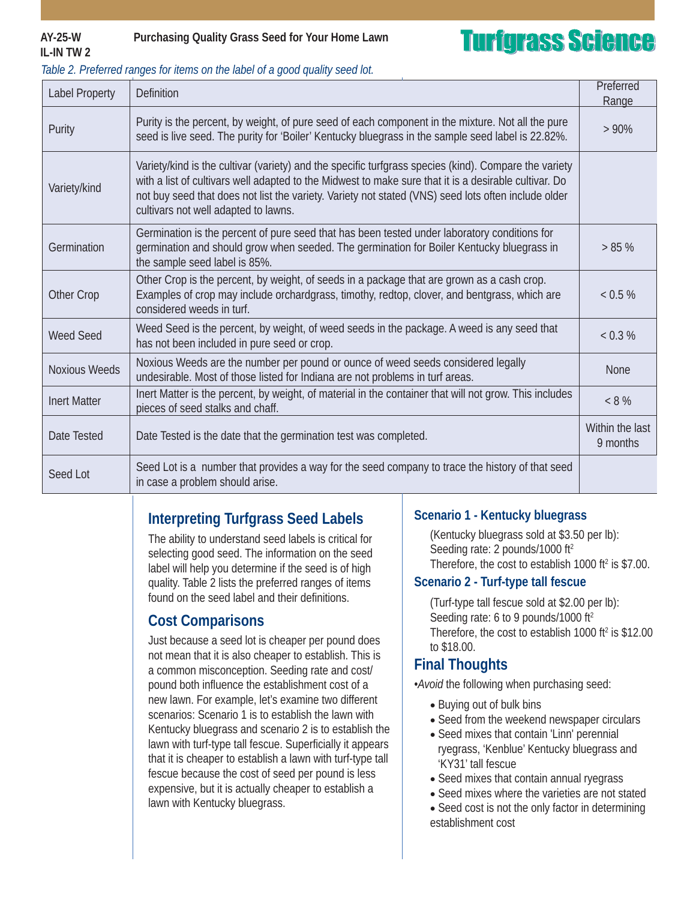# **IL-IN TW 2**

### **AY-25-W Purchasing Quality Grass Seed for Your Home Lawn**

# **Turfgrass Science**

| Table 2. Preferred ranges for items on the label of a good quality seed lot. |
|------------------------------------------------------------------------------|
|------------------------------------------------------------------------------|

| <b>Label Property</b> | <b>Definition</b>                                                                                                                                                                                                                                                                                                                                             | Preferred<br>Range          |
|-----------------------|---------------------------------------------------------------------------------------------------------------------------------------------------------------------------------------------------------------------------------------------------------------------------------------------------------------------------------------------------------------|-----------------------------|
| Purity                | Purity is the percent, by weight, of pure seed of each component in the mixture. Not all the pure<br>seed is live seed. The purity for 'Boiler' Kentucky bluegrass in the sample seed label is 22.82%.                                                                                                                                                        | $>90\%$                     |
| Variety/kind          | Variety/kind is the cultivar (variety) and the specific turfgrass species (kind). Compare the variety<br>with a list of cultivars well adapted to the Midwest to make sure that it is a desirable cultivar. Do<br>not buy seed that does not list the variety. Variety not stated (VNS) seed lots often include older<br>cultivars not well adapted to lawns. |                             |
| Germination           | Germination is the percent of pure seed that has been tested under laboratory conditions for<br>germination and should grow when seeded. The germination for Boiler Kentucky bluegrass in<br>the sample seed label is 85%.                                                                                                                                    | > 85%                       |
| Other Crop            | Other Crop is the percent, by weight, of seeds in a package that are grown as a cash crop.<br>Examples of crop may include orchardgrass, timothy, redtop, clover, and bentgrass, which are<br>considered weeds in turf.                                                                                                                                       | < 0.5 %                     |
| <b>Weed Seed</b>      | Weed Seed is the percent, by weight, of weed seeds in the package. A weed is any seed that<br>has not been included in pure seed or crop.                                                                                                                                                                                                                     | < 0.3 %                     |
| <b>Noxious Weeds</b>  | Noxious Weeds are the number per pound or ounce of weed seeds considered legally<br>undesirable. Most of those listed for Indiana are not problems in turf areas.                                                                                                                                                                                             | None                        |
| <b>Inert Matter</b>   | Inert Matter is the percent, by weight, of material in the container that will not grow. This includes<br>pieces of seed stalks and chaff.                                                                                                                                                                                                                    | $< 8 \%$                    |
| Date Tested           | Date Tested is the date that the germination test was completed.                                                                                                                                                                                                                                                                                              | Within the last<br>9 months |
| Seed Lot              | Seed Lot is a number that provides a way for the seed company to trace the history of that seed<br>in case a problem should arise.                                                                                                                                                                                                                            |                             |

## **Interpreting Turfgrass Seed Labels**

The ability to understand seed labels is critical for selecting good seed. The information on the seed label will help you determine if the seed is of high quality. Table 2 lists the preferred ranges of items found on the seed label and their definitions.

### **Cost Comparisons**

Just because a seed lot is cheaper per pound does not mean that it is also cheaper to establish. This is a common misconception. Seeding rate and cost/ pound both influence the establishment cost of a new lawn. For example, let's examine two different scenarios: Scenario 1 is to establish the lawn with Kentucky bluegrass and scenario 2 is to establish the lawn with turf-type tall fescue. Superficially it appears that it is cheaper to establish a lawn with turf-type tall fescue because the cost of seed per pound is less expensive, but it is actually cheaper to establish a lawn with Kentucky bluegrass.

### **Scenario 1 - Kentucky bluegrass**

(Kentucky bluegrass sold at \$3.50 per lb): Seeding rate: 2 pounds/1000 ft<sup>2</sup> Therefore, the cost to establish 1000 ft $2$  is \$7.00.

### **Scenario 2 - Turf-type tall fescue**

(Turf-type tall fescue sold at \$2.00 per lb): Seeding rate: 6 to 9 pounds/1000 ft<sup>2</sup> Therefore, the cost to establish  $1000$  ft<sup>2</sup> is \$12.00 to \$18.00.

### **Final Thoughts**

*•Avoid* the following when purchasing seed:

- Buying out of bulk bins
- Seed from the weekend newspaper circulars
- Seed mixes that contain 'Linn' perennial ryegrass, 'Kenblue' Kentucky bluegrass and 'KY31' tall fescue
- Seed mixes that contain annual ryegrass
- Seed mixes where the varieties are not stated
- Seed cost is not the only factor in determining establishment cost